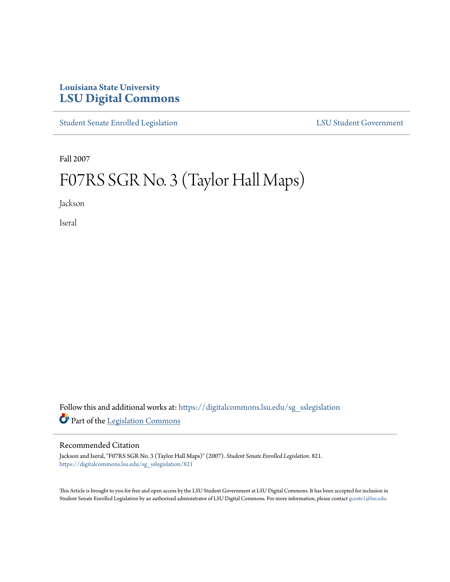## **Louisiana State University [LSU Digital Commons](https://digitalcommons.lsu.edu?utm_source=digitalcommons.lsu.edu%2Fsg_sslegislation%2F821&utm_medium=PDF&utm_campaign=PDFCoverPages)**

[Student Senate Enrolled Legislation](https://digitalcommons.lsu.edu/sg_sslegislation?utm_source=digitalcommons.lsu.edu%2Fsg_sslegislation%2F821&utm_medium=PDF&utm_campaign=PDFCoverPages) [LSU Student Government](https://digitalcommons.lsu.edu/sg?utm_source=digitalcommons.lsu.edu%2Fsg_sslegislation%2F821&utm_medium=PDF&utm_campaign=PDFCoverPages)

Fall 2007

# F07RS SGR No. 3 (Taylor Hall Maps)

Jackson

Iseral

Follow this and additional works at: [https://digitalcommons.lsu.edu/sg\\_sslegislation](https://digitalcommons.lsu.edu/sg_sslegislation?utm_source=digitalcommons.lsu.edu%2Fsg_sslegislation%2F821&utm_medium=PDF&utm_campaign=PDFCoverPages) Part of the [Legislation Commons](http://network.bepress.com/hgg/discipline/859?utm_source=digitalcommons.lsu.edu%2Fsg_sslegislation%2F821&utm_medium=PDF&utm_campaign=PDFCoverPages)

#### Recommended Citation

Jackson and Iseral, "F07RS SGR No. 3 (Taylor Hall Maps)" (2007). *Student Senate Enrolled Legislation*. 821. [https://digitalcommons.lsu.edu/sg\\_sslegislation/821](https://digitalcommons.lsu.edu/sg_sslegislation/821?utm_source=digitalcommons.lsu.edu%2Fsg_sslegislation%2F821&utm_medium=PDF&utm_campaign=PDFCoverPages)

This Article is brought to you for free and open access by the LSU Student Government at LSU Digital Commons. It has been accepted for inclusion in Student Senate Enrolled Legislation by an authorized administrator of LSU Digital Commons. For more information, please contact [gcoste1@lsu.edu.](mailto:gcoste1@lsu.edu)